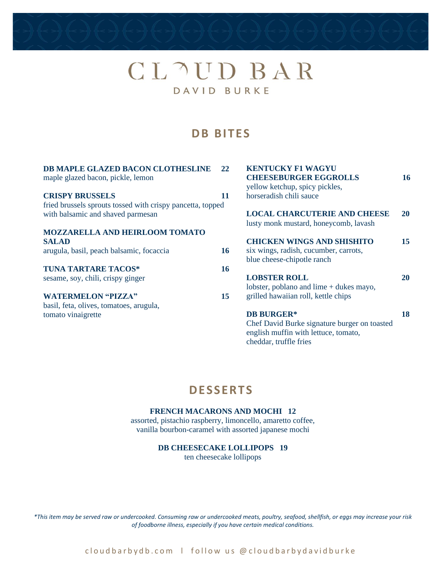## CLAUD BAR DAVID BURKE

### **D B BITES**

| DB MAPLE GLAZED BACON CLOTHESLINE<br>maple glazed bacon, pickle, lemon | 22        | <b>KENTUCKY F1 WAGYU</b><br><b>CHEESEBURGER EGGROLLS</b><br>yellow ketchup, spicy pickles, | <b>16</b> |
|------------------------------------------------------------------------|-----------|--------------------------------------------------------------------------------------------|-----------|
| <b>CRISPY BRUSSELS</b>                                                 | 11        | horseradish chili sauce                                                                    |           |
| fried brussels sprouts tossed with crispy pancetta, topped             |           |                                                                                            |           |
| with balsamic and shaved parmesan                                      |           | <b>LOCAL CHARCUTERIE AND CHEESE</b><br>lusty monk mustard, honeycomb, lavash               | <b>20</b> |
| <b>MOZZARELLA AND HEIRLOOM TOMATO</b>                                  |           |                                                                                            |           |
| <b>SALAD</b>                                                           |           | <b>CHICKEN WINGS AND SHISHITO</b>                                                          | 15        |
| arugula, basil, peach balsamic, focaccia                               | <b>16</b> | six wings, radish, cucumber, carrots,                                                      |           |
|                                                                        |           | blue cheese-chipotle ranch                                                                 |           |
| <b>TUNA TARTARE TACOS*</b>                                             | <b>16</b> |                                                                                            |           |
| sesame, soy, chili, crispy ginger                                      |           | <b>LOBSTER ROLL</b>                                                                        | <b>20</b> |
|                                                                        |           | lobster, poblano and lime $+$ dukes mayo,                                                  |           |
| <b>WATERMELON "PIZZA"</b>                                              | 15        | grilled hawaiian roll, kettle chips                                                        |           |
| basil, feta, olives, tomatoes, arugula,                                |           |                                                                                            |           |
| tomato vinaigrette                                                     |           | <b>DB BURGER*</b>                                                                          | 18        |
|                                                                        |           | Chef David Burke signature burger on toasted                                               |           |
|                                                                        |           | english muffin with lettuce, tomato,                                                       |           |
|                                                                        |           | cheddar, truffle fries                                                                     |           |

## **D ESS ERTS**

#### **FRENCH MACARONS AND MOCHI 12**

assorted, pistachio raspberry, limoncello, amaretto coffee, vanilla bourbon-caramel with assorted japanese mochi

#### **DB CHEESECAKE LOLLIPOPS 19**

ten cheesecake lollipops

*\*This item may be served raw or undercooked. Consuming raw or undercooked meats, poultry, seafood, shellfish, or eggs may increase your risk of foodborne illness, especially if you have certain medical conditions.*